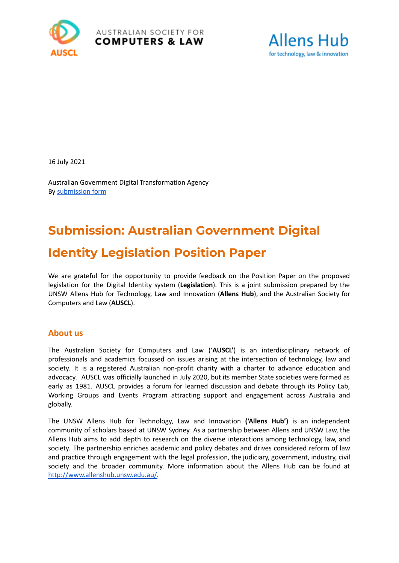



16 July 2021

Australian Government Digital Transformation Agency By [submission](https://www.digitalidentity.gov.au/have-your-say/phase-2-digital-identity-legislation/submission-form) form

# **Submission: Australian [Government](https://www.digitalidentity.gov.au/have-your-say/phase-2-digital-identity-legislation/digital-identity-legislation-position-paper) Digital Identity [Legislation](https://www.digitalidentity.gov.au/have-your-say/phase-2-digital-identity-legislation/digital-identity-legislation-position-paper) Position Paper**

We are grateful for the opportunity to provide feedback on the Position Paper on the proposed legislation for the Digital Identity system (**Legislation**). This is a joint submission prepared by the UNSW Allens Hub for Technology, Law and Innovation (**Allens Hub**), and the Australian Society for Computers and Law (**AUSCL**).

## **About us**

The Australian Society for Computers and Law ('**AUSCL'**) is an interdisciplinary network of professionals and academics focussed on issues arising at the intersection of technology, law and society. It is a registered Australian non-profit charity with a charter to advance education and advocacy. AUSCL was officially launched in July 2020, but its member State societies were formed as early as 1981. AUSCL provides a forum for learned discussion and debate through its Policy Lab, Working Groups and Events Program attracting support and engagement across Australia and globally.

The UNSW Allens Hub for Technology, Law and Innovation **('Allens Hub')** is an independent community of scholars based at UNSW Sydney. As a partnership between Allens and UNSW Law, the Allens Hub aims to add depth to research on the diverse interactions among technology, law, and society. The partnership enriches academic and policy debates and drives considered reform of law and practice through engagement with the legal profession, the judiciary, government, industry, civil society and the broader community. More information about the Allens Hub can be found at [http://www.allenshub.unsw.edu.au/.](http://www.allenshub.unsw.edu.au/)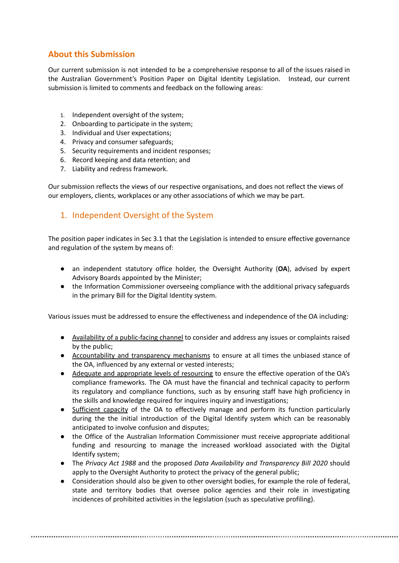# **About this Submission**

Our current submission is not intended to be a comprehensive response to all of the issues raised in the Australian Government's Position Paper on Digital Identity Legislation. Instead, our current submission is limited to comments and feedback on the following areas:

- 1. Independent oversight of the system;
- 2. Onboarding to participate in the system;
- 3. Individual and User expectations;
- 4. Privacy and consumer safeguards;
- 5. Security requirements and incident responses;
- 6. Record keeping and data retention; and
- 7. Liability and redress framework.

Our submission reflects the views of our respective organisations, and does not reflect the views of our employers, clients, workplaces or any other associations of which we may be part.

# 1. Independent Oversight of the System

The position paper indicates in Sec 3.1 that the Legislation is intended to ensure effective governance and regulation of the system by means of:

- an independent statutory office holder, the Oversight Authority (**OA**), advised by expert Advisory Boards appointed by the Minister;
- the Information Commissioner overseeing compliance with the additional privacy safeguards in the primary Bill for the Digital Identity system.

Various issues must be addressed to ensure the effectiveness and independence of the OA including:

- Availability of a public-facing channel to consider and address any issues or complaints raised by the public;
- Accountability and transparency mechanisms to ensure at all times the unbiased stance of the OA, influenced by any external or vested interests;
- Adequate and appropriate levels of resourcing to ensure the effective operation of the OA's compliance frameworks. The OA must have the financial and technical capacity to perform its regulatory and compliance functions, such as by ensuring staff have high proficiency in the skills and knowledge required for inquires inquiry and investigations;
- Sufficient capacity of the OA to effectively manage and perform its function particularly during the the initial introduction of the Digital Identify system which can be reasonably anticipated to involve confusion and disputes;
- the Office of the Australian Information Commissioner must receive appropriate additional funding and resourcing to manage the increased workload associated with the Digital Identify system;
- The *Privacy Act 1988* and the proposed *Data Availability and Transparency Bill 2020* should apply to the Oversight Authority to protect the privacy of the general public;
- Consideration should also be given to other oversight bodies, for example the role of federal, state and territory bodies that oversee police agencies and their role in investigating incidences of prohibited activities in the legislation (such as speculative profiling).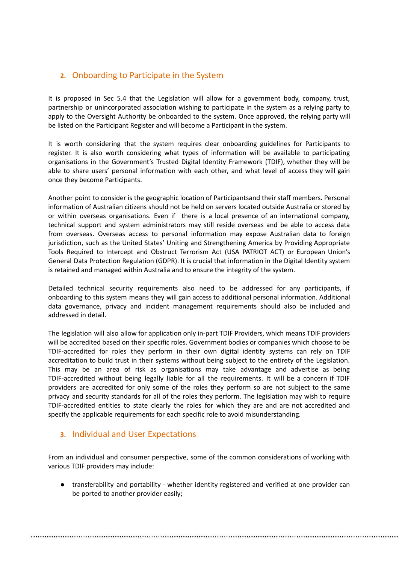# **2.** Onboarding to Participate in the System

It is proposed in Sec 5.4 that the Legislation will allow for a government body, company, trust, partnership or unincorporated association wishing to participate in the system as a relying party to apply to the Oversight Authority be onboarded to the system. Once approved, the relying party will be listed on the Participant Register and will become a Participant in the system.

It is worth considering that the system requires clear onboarding guidelines for Participants to register. It is also worth considering what types of information will be available to participating organisations in the Government's Trusted Digital Identity Framework (TDIF), whether they will be able to share users' personal information with each other, and what level of access they will gain once they become Participants.

Another point to consider is the geographic location of Participantsand their staff members. Personal information of Australian citizens should not be held on servers located outside Australia or stored by or within overseas organisations. Even if there is a local presence of an international company, technical support and system administrators may still reside overseas and be able to access data from overseas. Overseas access to personal information may expose Australian data to foreign jurisdiction, such as the United States' Uniting and Strengthening America by Providing Appropriate Tools Required to Intercept and Obstruct Terrorism Act (USA PATRIOT ACT) or European Union's General Data Protection Regulation (GDPR). It is crucial that information in the Digital Identity system is retained and managed within Australia and to ensure the integrity of the system.

Detailed technical security requirements also need to be addressed for any participants, if onboarding to this system means they will gain access to additional personal information. Additional data governance, privacy and incident management requirements should also be included and addressed in detail.

The legislation will also allow for application only in-part TDIF Providers, which means TDIF providers will be accredited based on their specific roles. Government bodies or companies which choose to be TDIF-accredited for roles they perform in their own digital identity systems can rely on TDIF accreditation to build trust in their systems without being subject to the entirety of the Legislation. This may be an area of risk as organisations may take advantage and advertise as being TDIF-accredited without being legally liable for all the requirements. It will be a concern if TDIF providers are accredited for only some of the roles they perform so are not subject to the same privacy and security standards for all of the roles they perform. The legislation may wish to require TDIF-accredited entities to state clearly the roles for which they are and are not accredited and specify the applicable requirements for each specific role to avoid misunderstanding.

## **3.** Individual and User Expectations

From an individual and consumer perspective, some of the common considerations of working with various TDIF providers may include:

● transferability and portability - whether identity registered and verified at one provider can be ported to another provider easily;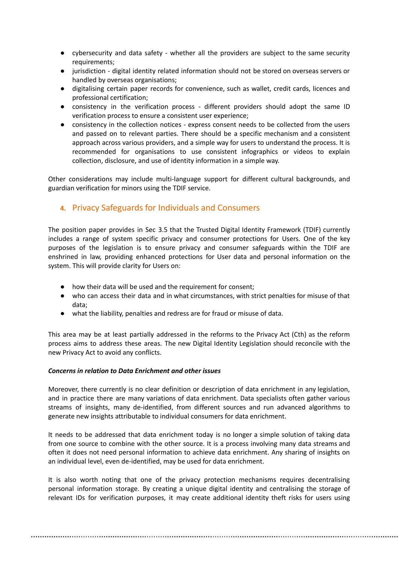- cybersecurity and data safety whether all the providers are subject to the same security requirements;
- jurisdiction digital identity related information should not be stored on overseas servers or handled by overseas organisations;
- digitalising certain paper records for convenience, such as wallet, credit cards, licences and professional certification;
- consistency in the verification process different providers should adopt the same ID verification process to ensure a consistent user experience;
- consistency in the collection notices express consent needs to be collected from the users and passed on to relevant parties. There should be a specific mechanism and a consistent approach across various providers, and a simple way for users to understand the process. It is recommended for organisations to use consistent infographics or videos to explain collection, disclosure, and use of identity information in a simple way.

Other considerations may include multi-language support for different cultural backgrounds, and guardian verification for minors using the TDIF service.

## **4.** Privacy Safeguards for Individuals and Consumers

The position paper provides in Sec 3.5 that the Trusted Digital Identity Framework (TDIF) currently includes a range of system specific privacy and consumer protections for Users. One of the key purposes of the legislation is to ensure privacy and consumer safeguards within the TDIF are enshrined in law, providing enhanced protections for User data and personal information on the system. This will provide clarity for Users on:

- how their data will be used and the requirement for consent;
- who can access their data and in what circumstances, with strict penalties for misuse of that data;
- what the liability, penalties and redress are for fraud or misuse of data.

This area may be at least partially addressed in the reforms to the Privacy Act (Cth) as the reform process aims to address these areas. The new Digital Identity Legislation should reconcile with the new Privacy Act to avoid any conflicts.

#### *Concerns in relation to Data Enrichment and other issues*

Moreover, there currently is no clear definition or description of data enrichment in any legislation, and in practice there are many variations of data enrichment. Data specialists often gather various streams of insights, many de-identified, from different sources and run advanced algorithms to generate new insights attributable to individual consumers for data enrichment.

It needs to be addressed that data enrichment today is no longer a simple solution of taking data from one source to combine with the other source. It is a process involving many data streams and often it does not need personal information to achieve data enrichment. Any sharing of insights on an individual level, even de-identified, may be used for data enrichment.

It is also worth noting that one of the privacy protection mechanisms requires decentralising personal information storage. By creating a unique digital identity and centralising the storage of relevant IDs for verification purposes, it may create additional identity theft risks for users using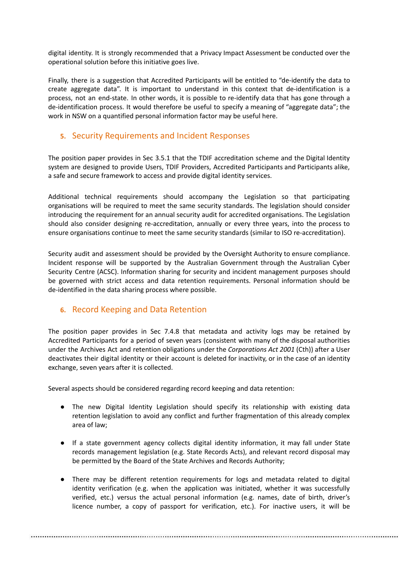digital identity. It is strongly recommended that a Privacy Impact Assessment be conducted over the operational solution before this initiative goes live.

Finally, there is a suggestion that Accredited Participants will be entitled to "de-identify the data to create aggregate data". It is important to understand in this context that de-identification is a process, not an end-state. In other words, it is possible to re-identify data that has gone through a de-identification process. It would therefore be useful to specify a meaning of "aggregate data"; the work in NSW on a quantified personal information factor may be useful here.

## **5.** Security Requirements and Incident Responses

The position paper provides in Sec 3.5.1 that the TDIF accreditation scheme and the Digital Identity system are designed to provide Users, TDIF Providers, Accredited Participants and Participants alike, a safe and secure framework to access and provide digital identity services.

Additional technical requirements should accompany the Legislation so that participating organisations will be required to meet the same security standards. The legislation should consider introducing the requirement for an annual security audit for accredited organisations. The Legislation should also consider designing re-accreditation, annually or every three years, into the process to ensure organisations continue to meet the same security standards (similar to ISO re-accreditation).

Security audit and assessment should be provided by the Oversight Authority to ensure compliance. Incident response will be supported by the Australian Government through the Australian Cyber Security Centre (ACSC). Information sharing for security and incident management purposes should be governed with strict access and data retention requirements. Personal information should be de-identified in the data sharing process where possible.

## **6.** Record Keeping and Data Retention

The position paper provides in Sec 7.4.8 that metadata and activity logs may be retained by Accredited Participants for a period of seven years (consistent with many of the disposal authorities under the Archives Act and retention obligations under the *Corporations Act 2001* (Cth)) after a User deactivates their digital identity or their account is deleted for inactivity, or in the case of an identity exchange, seven years after it is collected.

Several aspects should be considered regarding record keeping and data retention:

- The new Digital Identity Legislation should specify its relationship with existing data retention legislation to avoid any conflict and further fragmentation of this already complex area of law;
- If a state government agency collects digital identity information, it may fall under State records management legislation (e.g. State Records Acts), and relevant record disposal may be permitted by the Board of the State Archives and Records Authority;
- There may be different retention requirements for logs and metadata related to digital identity verification (e.g. when the application was initiated, whether it was successfully verified, etc.) versus the actual personal information (e.g. names, date of birth, driver's licence number, a copy of passport for verification, etc.). For inactive users, it will be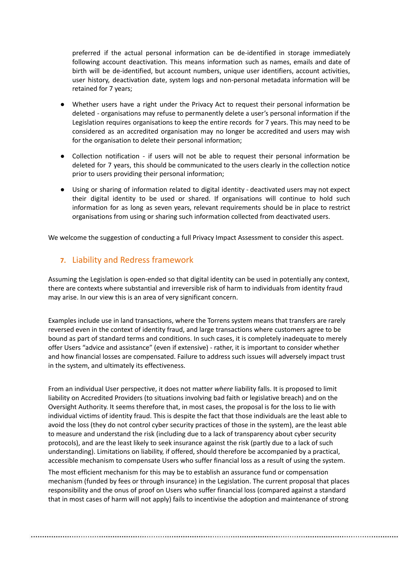preferred if the actual personal information can be de-identified in storage immediately following account deactivation. This means information such as names, emails and date of birth will be de-identified, but account numbers, unique user identifiers, account activities, user history, deactivation date, system logs and non-personal metadata information will be retained for 7 years;

- Whether users have a right under the Privacy Act to request their personal information be deleted - organisations may refuse to permanently delete a user's personal information if the Legislation requires organisations to keep the entire records for 7 years. This may need to be considered as an accredited organisation may no longer be accredited and users may wish for the organisation to delete their personal information;
- Collection notification if users will not be able to request their personal information be deleted for 7 years, this should be communicated to the users clearly in the collection notice prior to users providing their personal information;
- Using or sharing of information related to digital identity deactivated users may not expect their digital identity to be used or shared. If organisations will continue to hold such information for as long as seven years, relevant requirements should be in place to restrict organisations from using or sharing such information collected from deactivated users.

We welcome the suggestion of conducting a full Privacy Impact Assessment to consider this aspect.

## **7.** Liability and Redress framework

Assuming the Legislation is open-ended so that digital identity can be used in potentially any context, there are contexts where substantial and irreversible risk of harm to individuals from identity fraud may arise. In our view this is an area of very significant concern.

Examples include use in land transactions, where the Torrens system means that transfers are rarely reversed even in the context of identity fraud, and large transactions where customers agree to be bound as part of standard terms and conditions. In such cases, it is completely inadequate to merely offer Users "advice and assistance" (even if extensive) - rather, it is important to consider whether and how financial losses are compensated. Failure to address such issues will adversely impact trust in the system, and ultimately its effectiveness.

From an individual User perspective, it does not matter *where* liability falls. It is proposed to limit liability on Accredited Providers (to situations involving bad faith or legislative breach) and on the Oversight Authority. It seems therefore that, in most cases, the proposal is for the loss to lie with individual victims of identity fraud. This is despite the fact that those individuals are the least able to avoid the loss (they do not control cyber security practices of those in the system), are the least able to measure and understand the risk (including due to a lack of transparency about cyber security protocols), and are the least likely to seek insurance against the risk (partly due to a lack of such understanding). Limitations on liability, if offered, should therefore be accompanied by a practical, accessible mechanism to compensate Users who suffer financial loss as a result of using the system.

The most efficient mechanism for this may be to establish an assurance fund or compensation mechanism (funded by fees or through insurance) in the Legislation. The current proposal that places responsibility and the onus of proof on Users who suffer financial loss (compared against a standard that in most cases of harm will not apply) fails to incentivise the adoption and maintenance of strong